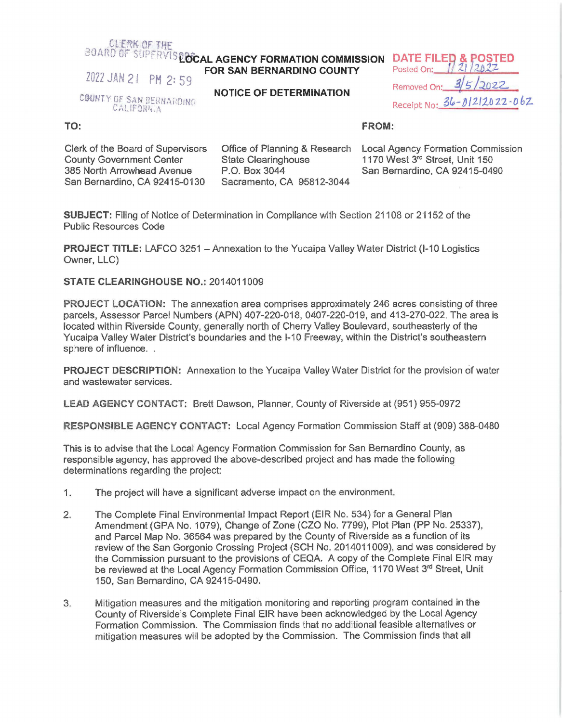## CLERK OF THE

## **COARD OF SUPERVISINGLA AGENCY FORMATION COMMISSION DATE FILED & POSTED**<br>FOR SAN BERNARDINO COUNTY Posted On: 1/21/2022 **FOR SAN BERNARDINO COUNTY**

2022 JAN 21 PM 2: 59

COUNTY OF SAN BERNARDING CALIFORNIA

**NOTICE OF DETERMINATION** 

Removed On: **3/5/2022** Receipt No: 36-01212022-062

## **TO:**

## **FROM:**

Clerk of the Board of Supervisors County Government Center 385 North Arrowhead Avenue San Bernardino, CA 92415-0130

Office of Planning & Research State Clearinghouse P.O. Box 3044 Sacramento, CA 95812-3044

Local Agency Formation Commission 1170 West 3rd Street, Unit 150 San Bernardino, CA 92415-0490

**SUBJECT:** Filing of Notice of Determination in Compliance with Section 21108 or 21152 of the Public Resources Code

**PROJECT TITLE:** LAFCO 3251 - Annexation to the Yucaipa Valley Water District (I-10 Logistics Owner, LLC)

**STATE CLEARINGHOUSE NO.:** 2014011009

**PROJECT LOCATION:** The annexation area comprises approximately 246 acres consisting of three parcels, Assessor Parcel Numbers (APN) 407-220-018, 0407-220-019, and 413-270-022. The area is located within Riverside County, generally north of Cherry Valley Boulevard, southeasterly of the Yucaipa Valley Water District's boundaries and the 1-10 Freeway, within the District's southeastern sphere of influence. .

**PROJECT DESCRIPTION:** Annexation to the Yucaipa Valley Water District for the provision of water and wastewater services.

**LEAD AGENCY CONTACT:** Brett Dawson, Planner, County of Riverside at (951) 955-0972

**RESPONSIBLE AGENCY CONTACT:** Local Agency Formation Commission Staff at (909) 388-0480

This is to advise that the Local Agency Formation Commission for San Bernardino County, as responsible agency, has approved the above-described project and has made the following determinations regarding the project:

- 1. The project will have a significant adverse impact on the environment.
- 2. The Complete Final Environmental Impact Report (EIR No. 534) for a General Plan Amendment (GPA No. 1079), Change of Zone (CZO No. 7799), Plot Plan (PP No. 25337), and Parcel Map No. 36564 was prepared by the County of Riverside as a function of its review of the San Gorgonio Crossing Project (SCH No. 2014011009), and was considered by the Commission pursuant to the provisions of CEQA. A copy of the Complete Final EIR may be reviewed at the Local Agency Formation Commission Office, 1170 West 3rd Street, Unit 150, San Bernardino, CA 92415-0490.
- 3. Mitigation measures and the mitigation monitoring and reporting program contained in the County of Riverside's Complete Final EIR have been acknowledged by the Local Agency Formation Commission. The Commission finds that no additional feasible alternatives or mitigation measures will be adopted by the Commission. The Commission finds that all